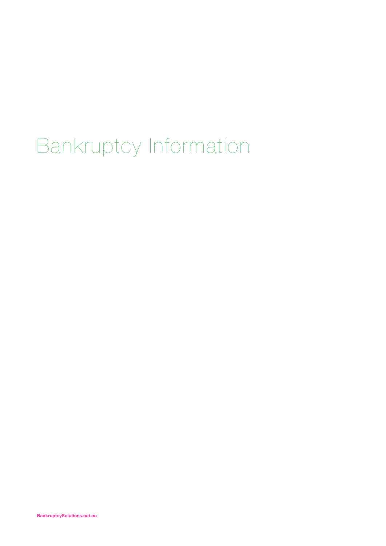# Bankruptcy Information

**BankruptcySolutions.net.au**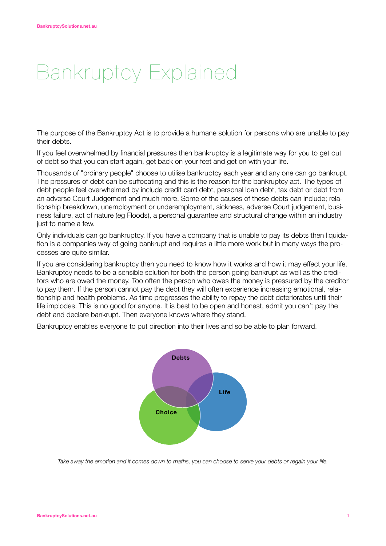# Bankruptcy Explained

The purpose of the Bankruptcy Act is to provide a humane solution for persons who are unable to pay their debts.

If you feel overwhelmed by financial pressures then bankruptcy is a legitimate way for you to get out of debt so that you can start again, get back on your feet and get on with your life.

Thousands of "ordinary people" choose to utilise bankruptcy each year and any one can go bankrupt. The pressures of debt can be suffocating and this is the reason for the bankruptcy act. The types of debt people feel overwhelmed by include credit card debt, personal loan debt, tax debt or debt from an adverse Court Judgement and much more. Some of the causes of these debts can include; relationship breakdown, unemployment or underemployment, sickness, adverse Court judgement, business failure, act of nature (eg Floods), a personal guarantee and structural change within an industry just to name a few.

Only individuals can go bankruptcy. If you have a company that is unable to pay its debts then liquidation is a companies way of going bankrupt and requires a little more work but in many ways the processes are quite similar.

If you are considering bankruptcy then you need to know how it works and how it may effect your life. Bankruptcy needs to be a sensible solution for both the person going bankrupt as well as the creditors who are owed the money. Too often the person who owes the money is pressured by the creditor to pay them. If the person cannot pay the debt they will often experience increasing emotional, relationship and health problems. As time progresses the ability to repay the debt deteriorates until their life implodes. This is no good for anyone. It is best to be open and honest, admit you can't pay the debt and declare bankrupt. Then everyone knows where they stand.

Bankruptcy enables everyone to put direction into their lives and so be able to plan forward.



*Take away the emotion and it comes down to maths, you can choose to serve your debts or regain your life.*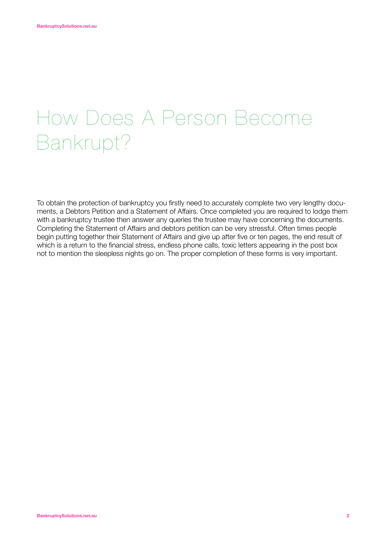# How Does A Person Become Bankrupt?

To obtain the protection of bankruptcy you firstly need to accurately complete two very lengthy documents, a Debtors Petition and a Statement of Affairs. Once completed you are required to lodge them with a bankruptcy trustee then answer any queries the trustee may have concerning the documents. Completing the Statement of Affairs and debtors petition can be very stressful. Often times people begin putting together their Statement of Affairs and give up after five or ten pages, the end result of which is a return to the financial stress, endless phone calls, toxic letters appearing in the post box not to mention the sleepless nights go on. The proper completion of these forms is very important.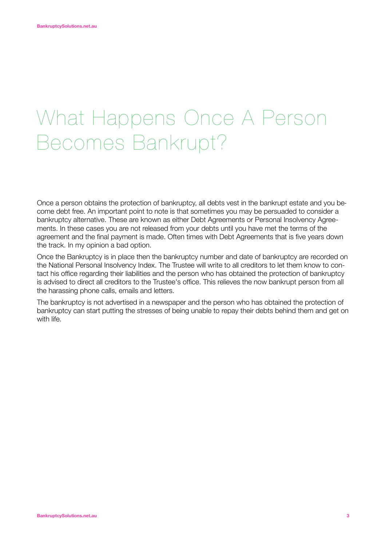### What Happens Once A Person Becomes Bankrupt?

Once a person obtains the protection of bankruptcy, all debts vest in the bankrupt estate and you become debt free. An important point to note is that sometimes you may be persuaded to consider a bankruptcy alternative. These are known as either Debt Agreements or Personal Insolvency Agreements. In these cases you are not released from your debts until you have met the terms of the agreement and the final payment is made. Often times with Debt Agreements that is five years down the track. In my opinion a bad option.

Once the Bankruptcy is in place then the bankruptcy number and date of bankruptcy are recorded on the National Personal Insolvency Index. The Trustee will write to all creditors to let them know to contact his office regarding their liabilities and the person who has obtained the protection of bankruptcy is advised to direct all creditors to the Trustee's office. This relieves the now bankrupt person from all the harassing phone calls, emails and letters.

The bankruptcy is not advertised in a newspaper and the person who has obtained the protection of bankruptcy can start putting the stresses of being unable to repay their debts behind them and get on with life.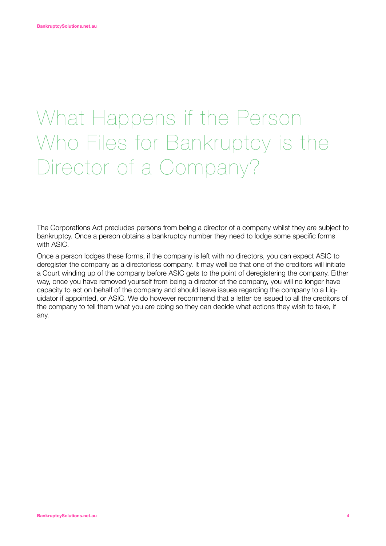# What Happens if the Person Who Files for Bankruptcy is the Director of a Company?

The Corporations Act precludes persons from being a director of a company whilst they are subject to bankruptcy. Once a person obtains a bankruptcy number they need to lodge some specific forms with ASIC.

Once a person lodges these forms, if the company is left with no directors, you can expect ASIC to deregister the company as a directorless company. It may well be that one of the creditors will initiate a Court winding up of the company before ASIC gets to the point of deregistering the company. Either way, once you have removed yourself from being a director of the company, you will no longer have capacity to act on behalf of the company and should leave issues regarding the company to a Liquidator if appointed, or ASIC. We do however recommend that a letter be issued to all the creditors of the company to tell them what you are doing so they can decide what actions they wish to take, if any.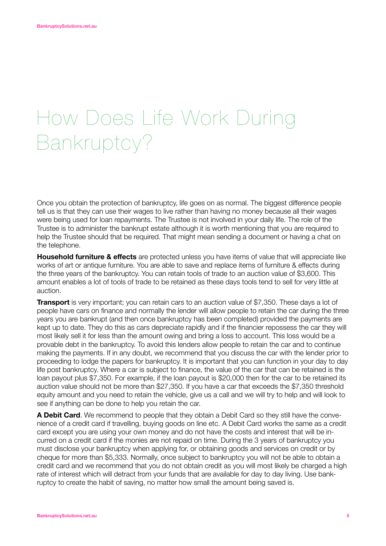# How Does Life Work During Bankruptcy?

Once you obtain the protection of bankruptcy, life goes on as normal. The biggest difference people tell us is that they can use their wages to live rather than having no money because all their wages were being used for loan repayments. The Trustee is not involved in your daily life. The role of the Trustee is to administer the bankrupt estate although it is worth mentioning that you are required to help the Trustee should that be required. That might mean sending a document or having a chat on the telephone.

**Household furniture & effects** are protected unless you have items of value that will appreciate like works of art or antique furniture. You are able to save and replace items of furniture & effects during the three years of the bankruptcy. You can retain tools of trade to an auction value of \$3,600. This amount enables a lot of tools of trade to be retained as these days tools tend to sell for very little at auction.

**Transport** is very important; you can retain cars to an auction value of \$7,350. These days a lot of people have cars on finance and normally the lender will allow people to retain the car during the three years you are bankrupt (and then once bankruptcy has been completed) provided the payments are kept up to date. They do this as cars depreciate rapidly and if the financier repossess the car they will most likely sell it for less than the amount owing and bring a loss to account. This loss would be a provable debt in the bankruptcy. To avoid this lenders allow people to retain the car and to continue making the payments. If in any doubt, we recommend that you discuss the car with the lender prior to proceeding to lodge the papers for bankruptcy. It is important that you can function in your day to day life post bankruptcy. Where a car is subject to finance, the value of the car that can be retained is the loan payout plus \$7,350. For example, if the loan payout is \$20,000 then for the car to be retained its auction value should not be more than \$27,350. If you have a car that exceeds the \$7,350 threshold equity amount and you need to retain the vehicle, give us a call and we will try to help and will look to see if anything can be done to help you retain the car.

**A Debit Card**. We recommend to people that they obtain a Debit Card so they still have the convenience of a credit card if travelling, buying goods on line etc. A Debit Card works the same as a credit card except you are using your own money and do not have the costs and interest that will be incurred on a credit card if the monies are not repaid on time. During the 3 years of bankruptcy you must disclose your bankruptcy when applying for, or obtaining goods and services on credit or by cheque for more than \$5,333. Normally, once subject to bankruptcy you will not be able to obtain a credit card and we recommend that you do not obtain credit as you will most likely be charged a high rate of interest which will detract from your funds that are available for day to day living. Use bankruptcy to create the habit of saving, no matter how small the amount being saved is.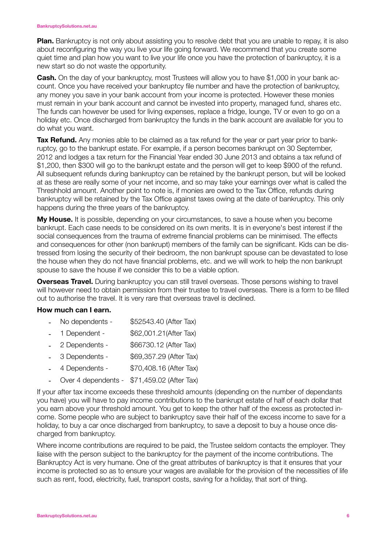**Plan.** Bankruptcy is not only about assisting you to resolve debt that you are unable to repay, it is also about reconfiguring the way you live your life going forward. We recommend that you create some quiet time and plan how you want to live your life once you have the protection of bankruptcy, it is a new start so do not waste the opportunity.

**Cash.** On the day of your bankruptcy, most Trustees will allow you to have \$1,000 in your bank account. Once you have received your bankruptcy file number and have the protection of bankruptcy, any money you save in your bank account from your income is protected. However these monies must remain in your bank account and cannot be invested into property, managed fund, shares etc. The funds can however be used for living expenses, replace a fridge, lounge, TV or even to go on a holiday etc. Once discharged from bankruptcy the funds in the bank account are available for you to do what you want.

**Tax Refund.** Any monies able to be claimed as a tax refund for the year or part year prior to bankruptcy, go to the bankrupt estate. For example, if a person becomes bankrupt on 30 September, 2012 and lodges a tax return for the Financial Year ended 30 June 2013 and obtains a tax refund of \$1,200, then \$300 will go to the bankrupt estate and the person will get to keep \$900 of the refund. All subsequent refunds during bankruptcy can be retained by the bankrupt person, but will be looked at as these are really some of your net income, and so may take your earnings over what is called the Threshhold amount. Another point to note is, if monies are owed to the Tax Office, refunds during bankruptcy will be retained by the Tax Office against taxes owing at the date of bankruptcy. This only happens during the three years of the bankruptcy.

**My House.** It is possible, depending on your circumstances, to save a house when you become bankrupt. Each case needs to be considered on its own merits. It is in everyone's best interest if the social consequences from the trauma of extreme financial problems can be minimised. The effects and consequences for other (non bankrupt) members of the family can be significant. Kids can be distressed from losing the security of their bedroom, the non bankrupt spouse can be devastated to lose the house when they do not have financial problems, etc. and we will work to help the non bankrupt spouse to save the house if we consider this to be a viable option.

**Overseas Travel.** During bankruptcy you can still travel overseas. Those persons wishing to travel will however need to obtain permission from their trustee to travel overseas. There is a form to be filled out to authorise the travel. It is very rare that overseas travel is declined.

#### **How much can I earn.**

- No dependents \$52543.40 (After Tax)
- 1 Dependent \$62,001.21(After Tax)
- 2 Dependents \$66730.12 (After Tax)
- 3 Dependents \$69,357.29 (After Tax)
- 4 Dependents \$70,408.16 (After Tax)
- Over 4 dependents \$71,459.02 (After Tax)

If your after tax income exceeds these threshold amounts (depending on the number of dependants you have) you will have to pay income contributions to the bankrupt estate of half of each dollar that you earn above your threshold amount. You get to keep the other half of the excess as protected income. Some people who are subject to bankruptcy save their half of the excess income to save for a holiday, to buy a car once discharged from bankruptcy, to save a deposit to buy a house once discharged from bankruptcy.

Where income contributions are required to be paid, the Trustee seldom contacts the employer. They liaise with the person subject to the bankruptcy for the payment of the income contributions. The Bankruptcy Act is very humane. One of the great attributes of bankruptcy is that it ensures that your income is protected so as to ensure your wages are available for the provision of the necessities of life such as rent, food, electricity, fuel, transport costs, saving for a holiday, that sort of thing.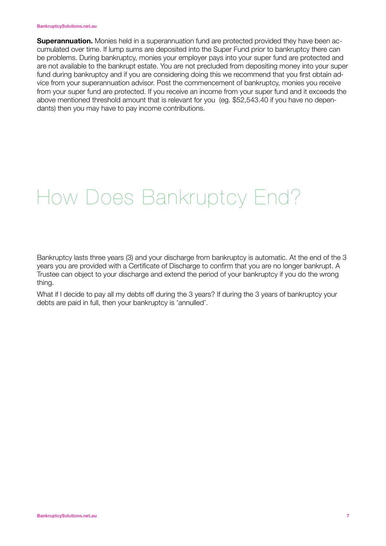#### **BankruptcySolutions.net.au**

**Superannuation.** Monies held in a superannuation fund are protected provided they have been accumulated over time. If lump sums are deposited into the Super Fund prior to bankruptcy there can be problems. During bankruptcy, monies your employer pays into your super fund are protected and are not available to the bankrupt estate. You are not precluded from depositing money into your super fund during bankruptcy and if you are considering doing this we recommend that you first obtain advice from your superannuation advisor. Post the commencement of bankruptcy, monies you receive from your super fund are protected. If you receive an income from your super fund and it exceeds the above mentioned threshold amount that is relevant for you (eg. \$52,543.40 if you have no dependants) then you may have to pay income contributions.

### How Does Bankruptcy End?

Bankruptcy lasts three years (3) and your discharge from bankruptcy is automatic. At the end of the 3 years you are provided with a Certificate of Discharge to confirm that you are no longer bankrupt. A Trustee can object to your discharge and extend the period of your bankruptcy if you do the wrong thing.

What if I decide to pay all my debts off during the 3 years? If during the 3 years of bankruptcy your debts are paid in full, then your bankruptcy is 'annulled'.